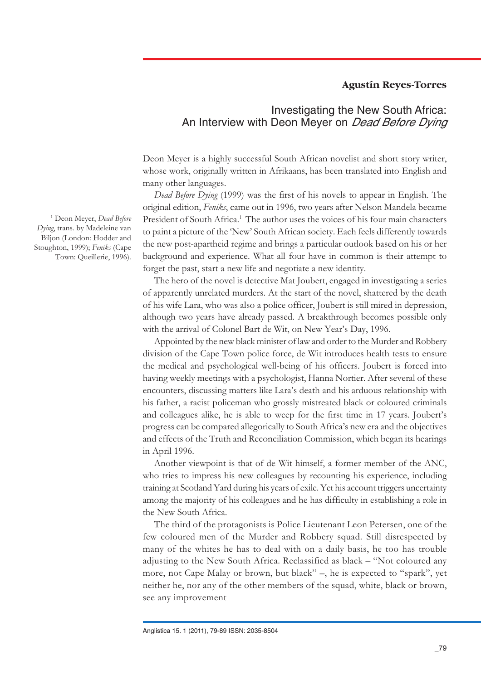## **Agustín Reyes-Torres**

# Investigating the New South Africa: An Interview with Deon Meyer on *Dead Before Dying*

Deon Meyer is a highly successful South African novelist and short story writer, whose work, originally written in Afrikaans, has been translated into English and many other languages.

*Dead Before Dying* (1999) was the first of his novels to appear in English. The original edition, *Feniks*, came out in 1996, two years after Nelson Mandela became President of South Africa.1 The author uses the voices of his four main characters to paint a picture of the 'New' South African society. Each feels differently towards the new post-apartheid regime and brings a particular outlook based on his or her background and experience. What all four have in common is their attempt to forget the past, start a new life and negotiate a new identity.

The hero of the novel is detective Mat Joubert, engaged in investigating a series of apparently unrelated murders. At the start of the novel, shattered by the death of his wife Lara, who was also a police officer, Joubert is still mired in depression, although two years have already passed. A breakthrough becomes possible only with the arrival of Colonel Bart de Wit, on New Year's Day, 1996.

Appointed by the new black minister of law and order to the Murder and Robbery division of the Cape Town police force, de Wit introduces health tests to ensure the medical and psychological well-being of his officers. Joubert is forced into having weekly meetings with a psychologist, Hanna Nortier. After several of these encounters, discussing matters like Lara's death and his arduous relationship with his father, a racist policeman who grossly mistreated black or coloured criminals and colleagues alike, he is able to weep for the first time in 17 years. Joubert's progress can be compared allegorically to South Africa's new era and the objectives and effects of the Truth and Reconciliation Commission, which began its hearings in April 1996.

Another viewpoint is that of de Wit himself, a former member of the ANC, who tries to impress his new colleagues by recounting his experience, including training at Scotland Yard during his years of exile. Yet his account triggers uncertainty among the majority of his colleagues and he has difficulty in establishing a role in the New South Africa.

The third of the protagonists is Police Lieutenant Leon Petersen, one of the few coloured men of the Murder and Robbery squad. Still disrespected by many of the whites he has to deal with on a daily basis, he too has trouble adjusting to the New South Africa. Reclassified as black – "Not coloured any more, not Cape Malay or brown, but black" –, he is expected to "spark", yet neither he, nor any of the other members of the squad, white, black or brown, see any improvement

1 Deon Meyer, *Dead Before Dying*, trans. by Madeleine van Biljon (London: Hodder and Stoughton, 1999); *Feniks* (Cape Town: Queillerie, 1996).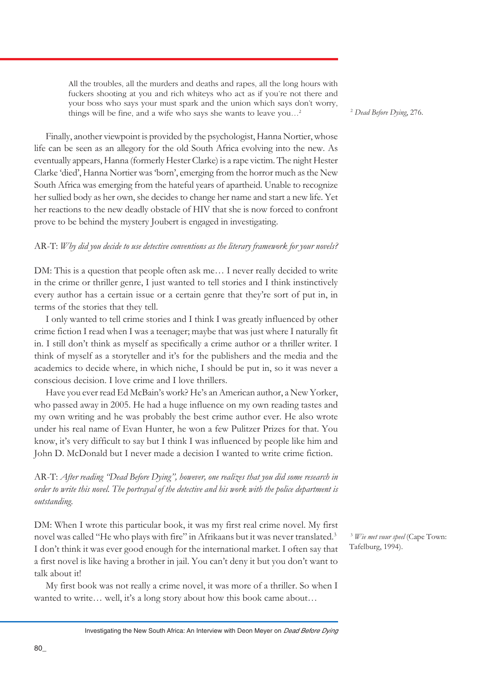All the troubles, all the murders and deaths and rapes, all the long hours with fuckers shooting at you and rich whiteys who act as if you're not there and your boss who says your must spark and the union which says don't worry, things will be fine, and a wife who says she wants to leave you…2

Finally, another viewpoint is provided by the psychologist, Hanna Nortier, whose life can be seen as an allegory for the old South Africa evolving into the new. As eventually appears, Hanna (formerly Hester Clarke) is a rape victim. The night Hester Clarke 'died', Hanna Nortier was 'born', emerging from the horror much as the New South Africa was emerging from the hateful years of apartheid. Unable to recognize her sullied body as her own, she decides to change her name and start a new life. Yet her reactions to the new deadly obstacle of HIV that she is now forced to confront prove to be behind the mystery Joubert is engaged in investigating.

## AR-T: *Why did you decide to use detective conventions as the literary framework for your novels?*

DM: This is a question that people often ask me… I never really decided to write in the crime or thriller genre, I just wanted to tell stories and I think instinctively every author has a certain issue or a certain genre that they're sort of put in, in terms of the stories that they tell.

I only wanted to tell crime stories and I think I was greatly influenced by other crime fiction I read when I was a teenager; maybe that was just where I naturally fit in. I still don't think as myself as specifically a crime author or a thriller writer. I think of myself as a storyteller and it's for the publishers and the media and the academics to decide where, in which niche, I should be put in, so it was never a conscious decision. I love crime and I love thrillers.

Have you ever read Ed McBain's work? He's an American author, a New Yorker, who passed away in 2005. He had a huge influence on my own reading tastes and my own writing and he was probably the best crime author ever. He also wrote under his real name of Evan Hunter, he won a few Pulitzer Prizes for that. You know, it's very difficult to say but I think I was influenced by people like him and John D. McDonald but I never made a decision I wanted to write crime fiction.

AR-T: *After reading "Dead Before Dying", however, one realizes that you did some research in order to write this novel. The portrayal of the detective and his work with the police department is outstanding.*

DM: When I wrote this particular book, it was my first real crime novel. My first novel was called "He who plays with fire" in Afrikaans but it was never translated.<sup>3</sup> I don't think it was ever good enough for the international market. I often say that a first novel is like having a brother in jail. You can't deny it but you don't want to talk about it!

My first book was not really a crime novel, it was more of a thriller. So when I wanted to write… well, it's a long story about how this book came about…

<sup>3</sup> *Wie met vuur speel* (Cape Town: Tafelburg, 1994).

<sup>2</sup> *Dead Before Dying*, 276.

Investigating the New South Africa: An Interview with Deon Meyer on Dead Before Dying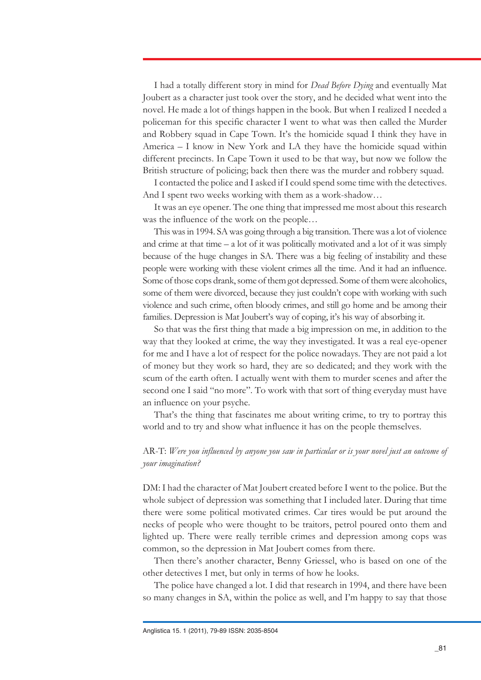I had a totally different story in mind for *Dead Before Dying* and eventually Mat Joubert as a character just took over the story, and he decided what went into the novel. He made a lot of things happen in the book. But when I realized I needed a policeman for this specific character I went to what was then called the Murder and Robbery squad in Cape Town. It's the homicide squad I think they have in America – I know in New York and LA they have the homicide squad within different precincts. In Cape Town it used to be that way, but now we follow the British structure of policing; back then there was the murder and robbery squad.

I contacted the police and I asked if I could spend some time with the detectives. And I spent two weeks working with them as a work-shadow…

It was an eye opener. The one thing that impressed me most about this research was the influence of the work on the people…

This was in 1994. SA was going through a big transition. There was a lot of violence and crime at that time  $-$  a lot of it was politically motivated and a lot of it was simply because of the huge changes in SA. There was a big feeling of instability and these people were working with these violent crimes all the time. And it had an influence. Some of those cops drank, some of them got depressed. Some of them were alcoholics, some of them were divorced, because they just couldn't cope with working with such violence and such crime, often bloody crimes, and still go home and be among their families. Depression is Mat Joubert's way of coping, it's his way of absorbing it.

So that was the first thing that made a big impression on me, in addition to the way that they looked at crime, the way they investigated. It was a real eye-opener for me and I have a lot of respect for the police nowadays. They are not paid a lot of money but they work so hard, they are so dedicated; and they work with the scum of the earth often. I actually went with them to murder scenes and after the second one I said "no more". To work with that sort of thing everyday must have an influence on your psyche.

That's the thing that fascinates me about writing crime, to try to portray this world and to try and show what influence it has on the people themselves.

## AR-T: *Were you influenced by anyone you saw in particular or is your novel just an outcome of your imagination?*

DM: I had the character of Mat Joubert created before I went to the police. But the whole subject of depression was something that I included later. During that time there were some political motivated crimes. Car tires would be put around the necks of people who were thought to be traitors, petrol poured onto them and lighted up. There were really terrible crimes and depression among cops was common, so the depression in Mat Joubert comes from there.

Then there's another character, Benny Griessel, who is based on one of the other detectives I met, but only in terms of how he looks.

The police have changed a lot. I did that research in 1994, and there have been so many changes in SA, within the police as well, and I'm happy to say that those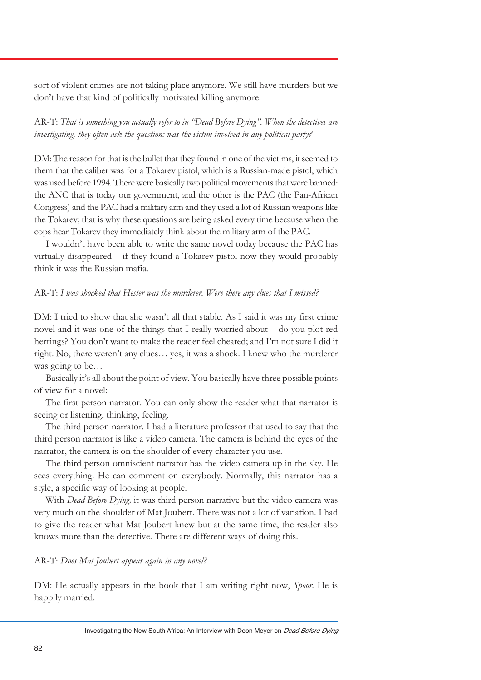sort of violent crimes are not taking place anymore. We still have murders but we don't have that kind of politically motivated killing anymore.

AR-T: *That is something you actually refer to in "Dead Before Dying". When the detectives are investigating, they often ask the question: was the victim involved in any political party?*

DM: The reason for that is the bullet that they found in one of the victims, it seemed to them that the caliber was for a Tokarev pistol, which is a Russian-made pistol, which was used before 1994. There were basically two political movements that were banned: the ANC that is today our government, and the other is the PAC (the Pan-African Congress) and the PAC had a military arm and they used a lot of Russian weapons like the Tokarev; that is why these questions are being asked every time because when the cops hear Tokarev they immediately think about the military arm of the PAC.

I wouldn't have been able to write the same novel today because the PAC has virtually disappeared – if they found a Tokarev pistol now they would probably think it was the Russian mafia.

## AR-T: *I was shocked that Hester was the murderer. Were there any clues that I missed?*

DM: I tried to show that she wasn't all that stable. As I said it was my first crime novel and it was one of the things that I really worried about – do you plot red herrings? You don't want to make the reader feel cheated; and I'm not sure I did it right. No, there weren't any clues… yes, it was a shock. I knew who the murderer was going to be…

Basically it's all about the point of view. You basically have three possible points of view for a novel:

The first person narrator. You can only show the reader what that narrator is seeing or listening, thinking, feeling.

The third person narrator. I had a literature professor that used to say that the third person narrator is like a video camera. The camera is behind the eyes of the narrator, the camera is on the shoulder of every character you use.

The third person omniscient narrator has the video camera up in the sky. He sees everything. He can comment on everybody. Normally, this narrator has a style, a specific way of looking at people.

With *Dead Before Dying,* it was third person narrative but the video camera was very much on the shoulder of Mat Joubert. There was not a lot of variation. I had to give the reader what Mat Joubert knew but at the same time, the reader also knows more than the detective. There are different ways of doing this.

## AR-T: *Does Mat Joubert appear again in any novel?*

DM: He actually appears in the book that I am writing right now, *Spoor*. He is happily married.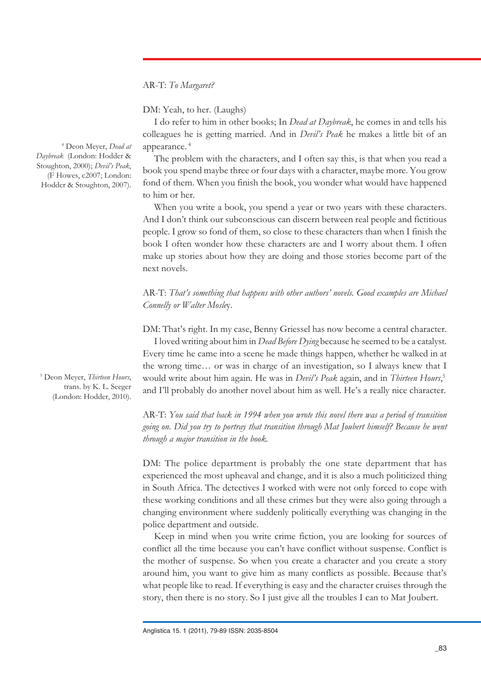AR-T: *To Margaret?*

DM: Yeah, to her. (Laughs)

I do refer to him in other books; In *Dead at Daybreak*, he comes in and tells his colleagues he is getting married. And in *Devil's Peak* he makes a little bit of an appearance. 4

The problem with the characters, and I often say this, is that when you read a book you spend maybe three or four days with a character, maybe more. You grow fond of them. When you finish the book, you wonder what would have happened to him or her.

When you write a book, you spend a year or two years with these characters. And I don't think our subconscious can discern between real people and fictitious people. I grow so fond of them, so close to these characters than when I finish the book I often wonder how these characters are and I worry about them. I often make up stories about how they are doing and those stories become part of the next novels.

AR-T: *That's something that happens with other authors' novels. Good examples are Michael Connelly or Walter Mosle*y.

DM: That's right. In my case, Benny Griessel has now become a central character.

I loved writing about him in *Dead Before Dying* because he seemed to be a catalyst. Every time he came into a scene he made things happen, whether he walked in at the wrong time… or was in charge of an investigation, so I always knew that I would write about him again. He was in *Devil's Peak* again, and in *Thirteen Hours*, 5 and I'll probably do another novel about him as well. He's a really nice character.

AR-T: *You said that back in 1994 when you wrote this novel there was a period of transition going on. Did you try to portray that transition through Mat Joubert himself? Because he went through a major transition in the book.*

DM: The police department is probably the one state department that has experienced the most upheaval and change, and it is also a much politicized thing in South Africa. The detectives I worked with were not only forced to cope with these working conditions and all these crimes but they were also going through a changing environment where suddenly politically everything was changing in the police department and outside.

Keep in mind when you write crime fiction, you are looking for sources of conflict all the time because you can't have conflict without suspense. Conflict is the mother of suspense. So when you create a character and you create a story around him, you want to give him as many conflicts as possible. Because that's what people like to read. If everything is easy and the character cruises through the story, then there is no story. So I just give all the troubles I can to Mat Joubert.

(F Howes, c2007; London: Hodder & Stoughton, 2007).

4 Deon Meyer, *Dead at Daybreak* (London: Hodder & Stoughton, 2000); *Devil's Peak*,

5 Deon Meyer, *Thirteen Hours*, trans. by K. L. Seeger (London: Hodder, 2010).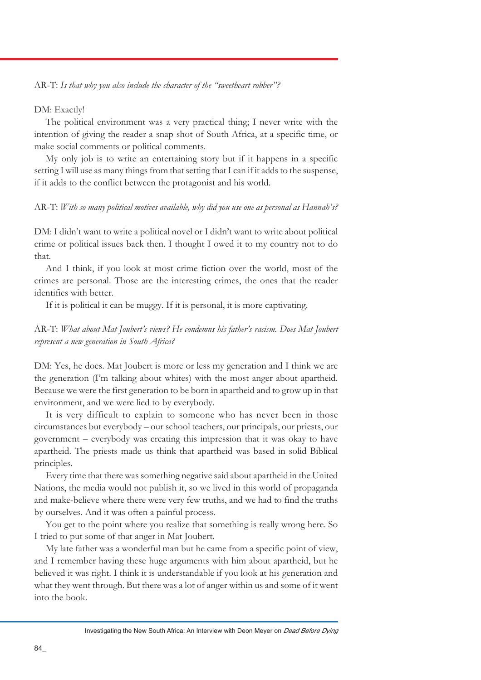## AR-T: *Is that why you also include the character of the "sweetheart robber"?*

#### DM: Exactly!

The political environment was a very practical thing; I never write with the intention of giving the reader a snap shot of South Africa, at a specific time, or make social comments or political comments.

My only job is to write an entertaining story but if it happens in a specific setting I will use as many things from that setting that I can if it adds to the suspense, if it adds to the conflict between the protagonist and his world.

#### AR-T: *With so many political motives available, why did you use one as personal as Hannah's?*

DM: I didn't want to write a political novel or I didn't want to write about political crime or political issues back then. I thought I owed it to my country not to do that.

And I think, if you look at most crime fiction over the world, most of the crimes are personal. Those are the interesting crimes, the ones that the reader identifies with better.

If it is political it can be muggy. If it is personal, it is more captivating.

## AR-T: *What about Mat Joubert's views? He condemns his father's racism. Does Mat Joubert represent a new generation in South Africa?*

DM: Yes, he does. Mat Joubert is more or less my generation and I think we are the generation (I'm talking about whites) with the most anger about apartheid. Because we were the first generation to be born in apartheid and to grow up in that environment, and we were lied to by everybody.

It is very difficult to explain to someone who has never been in those circumstances but everybody – our school teachers, our principals, our priests, our government – everybody was creating this impression that it was okay to have apartheid. The priests made us think that apartheid was based in solid Biblical principles.

Every time that there was something negative said about apartheid in the United Nations, the media would not publish it, so we lived in this world of propaganda and make-believe where there were very few truths, and we had to find the truths by ourselves. And it was often a painful process.

You get to the point where you realize that something is really wrong here. So I tried to put some of that anger in Mat Joubert.

My late father was a wonderful man but he came from a specific point of view, and I remember having these huge arguments with him about apartheid, but he believed it was right. I think it is understandable if you look at his generation and what they went through. But there was a lot of anger within us and some of it went into the book.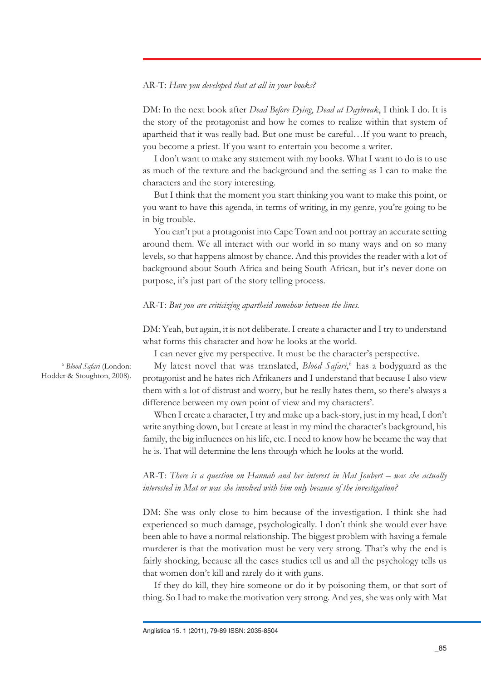## AR-T: *Have you developed that at all in your books?*

DM: In the next book after *Dead Before Dying*, *Dead at Daybreak*, I think I do. It is the story of the protagonist and how he comes to realize within that system of apartheid that it was really bad. But one must be careful…If you want to preach, you become a priest. If you want to entertain you become a writer.

I don't want to make any statement with my books. What I want to do is to use as much of the texture and the background and the setting as I can to make the characters and the story interesting.

But I think that the moment you start thinking you want to make this point, or you want to have this agenda, in terms of writing, in my genre, you're going to be in big trouble.

You can't put a protagonist into Cape Town and not portray an accurate setting around them. We all interact with our world in so many ways and on so many levels, so that happens almost by chance. And this provides the reader with a lot of background about South Africa and being South African, but it's never done on purpose, it's just part of the story telling process.

AR-T: *But you are criticizing apartheid somehow between the lines.*

DM: Yeah, but again, it is not deliberate. I create a character and I try to understand what forms this character and how he looks at the world.

I can never give my perspective. It must be the character's perspective.

My latest novel that was translated, *Blood Safari*, 6 has a bodyguard as the protagonist and he hates rich Afrikaners and I understand that because I also view them with a lot of distrust and worry, but he really hates them, so there's always a difference between my own point of view and my characters'.

When I create a character, I try and make up a back-story, just in my head, I don't write anything down, but I create at least in my mind the character's background, his family, the big influences on his life, etc. I need to know how he became the way that he is. That will determine the lens through which he looks at the world.

AR-T: *There is a question on Hannah and her interest in Mat Joubert – was she actually interested in Mat or was she involved with him only because of the investigation?*

DM: She was only close to him because of the investigation. I think she had experienced so much damage, psychologically. I don't think she would ever have been able to have a normal relationship. The biggest problem with having a female murderer is that the motivation must be very very strong. That's why the end is fairly shocking, because all the cases studies tell us and all the psychology tells us that women don't kill and rarely do it with guns.

If they do kill, they hire someone or do it by poisoning them, or that sort of thing. So I had to make the motivation very strong. And yes, she was only with Mat

<sup>6</sup> *Blood Safari* (London: Hodder & Stoughton, 2008).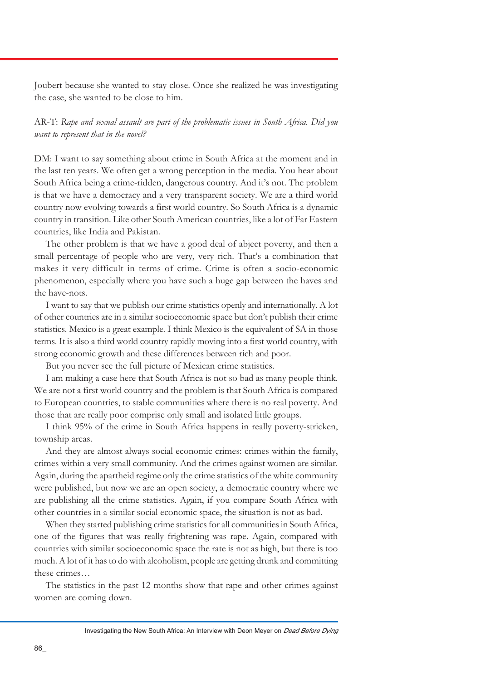Joubert because she wanted to stay close. Once she realized he was investigating the case, she wanted to be close to him.

AR-T: *Rape and sexual assault are part of the problematic issues in South Africa. Did you want to represent that in the novel?*

DM: I want to say something about crime in South Africa at the moment and in the last ten years. We often get a wrong perception in the media. You hear about South Africa being a crime-ridden, dangerous country. And it's not. The problem is that we have a democracy and a very transparent society. We are a third world country now evolving towards a first world country. So South Africa is a dynamic country in transition. Like other South American countries, like a lot of Far Eastern countries, like India and Pakistan.

The other problem is that we have a good deal of abject poverty, and then a small percentage of people who are very, very rich. That's a combination that makes it very difficult in terms of crime. Crime is often a socio-economic phenomenon, especially where you have such a huge gap between the haves and the have-nots.

I want to say that we publish our crime statistics openly and internationally. A lot of other countries are in a similar socioeconomic space but don't publish their crime statistics. Mexico is a great example. I think Mexico is the equivalent of SA in those terms. It is also a third world country rapidly moving into a first world country, with strong economic growth and these differences between rich and poor.

But you never see the full picture of Mexican crime statistics.

I am making a case here that South Africa is not so bad as many people think. We are not a first world country and the problem is that South Africa is compared to European countries, to stable communities where there is no real poverty. And those that are really poor comprise only small and isolated little groups.

I think 95% of the crime in South Africa happens in really poverty-stricken, township areas.

And they are almost always social economic crimes: crimes within the family, crimes within a very small community. And the crimes against women are similar. Again, during the apartheid regime only the crime statistics of the white community were published, but now we are an open society, a democratic country where we are publishing all the crime statistics. Again, if you compare South Africa with other countries in a similar social economic space, the situation is not as bad.

When they started publishing crime statistics for all communities in South Africa, one of the figures that was really frightening was rape. Again, compared with countries with similar socioeconomic space the rate is not as high, but there is too much. A lot of it has to do with alcoholism, people are getting drunk and committing these crimes…

The statistics in the past 12 months show that rape and other crimes against women are coming down.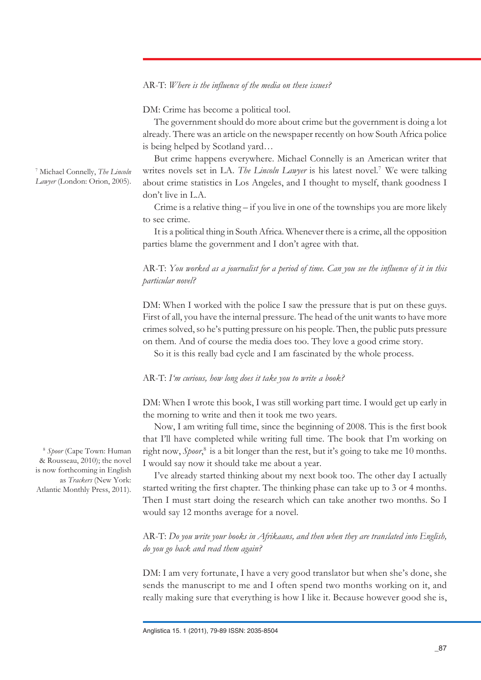## AR-T: *Where is the influence of the media on these issues?*

DM: Crime has become a political tool.

The government should do more about crime but the government is doing a lot already. There was an article on the newspaper recently on how South Africa police is being helped by Scotland yard…

But crime happens everywhere. Michael Connelly is an American writer that writes novels set in LA. *The Lincoln Lawyer* is his latest novel.<sup>7</sup> We were talking about crime statistics in Los Angeles, and I thought to myself, thank goodness I don't live in L.A.

Crime is a relative thing – if you live in one of the townships you are more likely to see crime.

It is a political thing in South Africa. Whenever there is a crime, all the opposition parties blame the government and I don't agree with that.

## AR-T: *You worked as a journalist for a period of time. Can you see the influence of it in this particular novel?*

DM: When I worked with the police I saw the pressure that is put on these guys. First of all, you have the internal pressure. The head of the unit wants to have more crimes solved, so he's putting pressure on his people. Then, the public puts pressure on them. And of course the media does too. They love a good crime story.

So it is this really bad cycle and I am fascinated by the whole process.

#### AR-T: *I'm curious, how long does it take you to write a book?*

DM: When I wrote this book, I was still working part time. I would get up early in the morning to write and then it took me two years.

Now, I am writing full time, since the beginning of 2008. This is the first book that I'll have completed while writing full time. The book that I'm working on right now, *Spoor*, 8 is a bit longer than the rest, but it's going to take me 10 months. I would say now it should take me about a year.

I've already started thinking about my next book too. The other day I actually started writing the first chapter. The thinking phase can take up to 3 or 4 months. Then I must start doing the research which can take another two months. So I would say 12 months average for a novel.

AR-T: *Do you write your books in Afrikaans, and then when they are translated into English, do you go back and read them again?*

DM: I am very fortunate, I have a very good translator but when she's done, she sends the manuscript to me and I often spend two months working on it, and really making sure that everything is how I like it. Because however good she is,

Anglistica 15. 1 (2011), 79-89 ISSN: 2035-8504

*Lawyer* (London: Orion, 2005).

7 Michael Connelly, *The Lincoln*

<sup>8</sup> *Spoor* (Cape Town: Human & Rousseau, 2010); the novel is now forthcoming in English as *Trackers* (New York: Atlantic Monthly Press, 2011).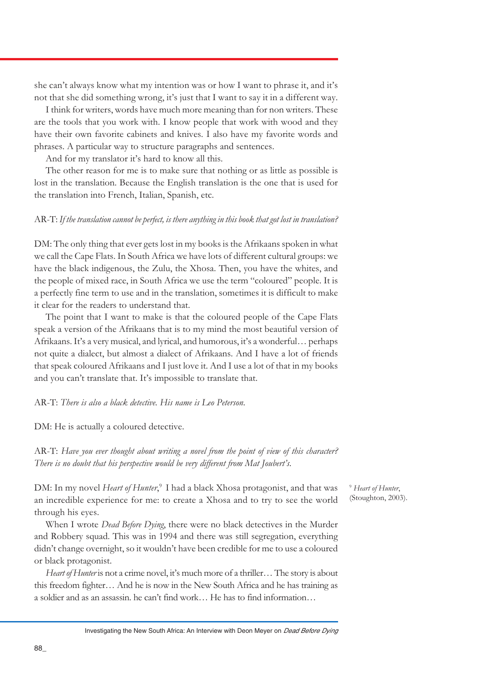she can't always know what my intention was or how I want to phrase it, and it's not that she did something wrong, it's just that I want to say it in a different way.

I think for writers, words have much more meaning than for non writers. These are the tools that you work with. I know people that work with wood and they have their own favorite cabinets and knives. I also have my favorite words and phrases. A particular way to structure paragraphs and sentences.

And for my translator it's hard to know all this.

The other reason for me is to make sure that nothing or as little as possible is lost in the translation. Because the English translation is the one that is used for the translation into French, Italian, Spanish, etc.

## AR-T: *If the translation cannot be perfect, is there anything in this book that got lost in translation?*

DM: The only thing that ever gets lost in my books is the Afrikaans spoken in what we call the Cape Flats. In South Africa we have lots of different cultural groups: we have the black indigenous, the Zulu, the Xhosa. Then, you have the whites, and the people of mixed race, in South Africa we use the term "coloured" people. It is a perfectly fine term to use and in the translation, sometimes it is difficult to make it clear for the readers to understand that.

The point that I want to make is that the coloured people of the Cape Flats speak a version of the Afrikaans that is to my mind the most beautiful version of Afrikaans. It's a very musical, and lyrical, and humorous, it's a wonderful… perhaps not quite a dialect, but almost a dialect of Afrikaans. And I have a lot of friends that speak coloured Afrikaans and I just love it. And I use a lot of that in my books and you can't translate that. It's impossible to translate that.

### AR-T: *There is also a black detective. His name is Leo Peterson*.

DM: He is actually a coloured detective.

AR-T: *Have you ever thought about writing a novel from the point of view of this character? There is no doubt that his perspective would be very different from Mat Joubert's*.

DM: In my novel *Heart of Hunter*, 9 I had a black Xhosa protagonist, and that was an incredible experience for me: to create a Xhosa and to try to see the world through his eyes.

When I wrote *Dead Before Dying*, there were no black detectives in the Murder and Robbery squad. This was in 1994 and there was still segregation, everything didn't change overnight, so it wouldn't have been credible for me to use a coloured or black protagonist.

*Heart of Hunter* is not a crime novel, it's much more of a thriller… The story is about this freedom fighter… And he is now in the New South Africa and he has training as a soldier and as an assassin. he can't find work… He has to find information…

<sup>9</sup> *Heart of Hunter*, (Stoughton, 2003).